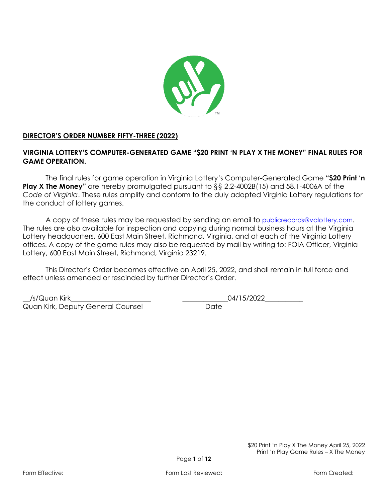

## **DIRECTOR'S ORDER NUMBER FIFTY-THREE (2022)**

# **VIRGINIA LOTTERY'S COMPUTER-GENERATED GAME "\$20 PRINT 'N PLAY X THE MONEY" FINAL RULES FOR GAME OPERATION.**

The final rules for game operation in Virginia Lottery's Computer-Generated Game **"\$20 Print 'n Play X The Money"** are hereby promulgated pursuant to §§ 2.2-4002B(15) and 58.1-4006A of the *Code of Virginia*. These rules amplify and conform to the duly adopted Virginia Lottery regulations for the conduct of lottery games.

A copy of these rules may be requested by sending an email to [publicrecords@valottery.com](mailto:PublicRecords@Valottery.com). The rules are also available for inspection and copying during normal business hours at the Virginia Lottery headquarters, 600 East Main Street, Richmond, Virginia, and at each of the Virginia Lottery offices. A copy of the game rules may also be requested by mail by writing to: FOIA Officer, Virginia Lottery, 600 East Main Street, Richmond, Virginia 23219.

This Director's Order becomes effective on April 25, 2022, and shall remain in full force and effect unless amended or rescinded by further Director's Order.

\_\_/s/Quan Kirk\_\_\_\_\_\_\_\_\_\_\_\_\_\_\_\_\_\_\_\_\_\_\_ \_\_\_\_\_\_\_\_\_\_\_\_\_04/15/2022\_\_\_\_\_\_\_\_\_\_\_ Quan Kirk, Deputy General Counsel **Date** Date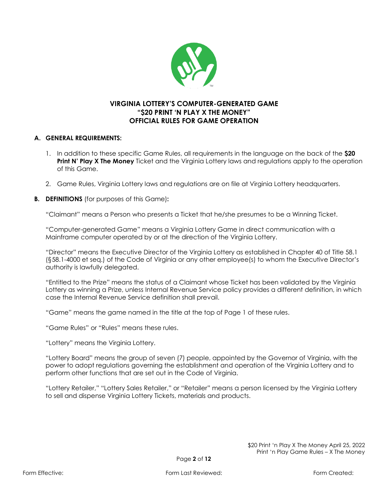

# **VIRGINIA LOTTERY'S COMPUTER-GENERATED GAME "\$20 PRINT 'N PLAY X THE MONEY" OFFICIAL RULES FOR GAME OPERATION**

## **A. GENERAL REQUIREMENTS:**

- 1. In addition to these specific Game Rules, all requirements in the language on the back of the **\$20 Print N' Play X The Money** Ticket and the Virginia Lottery laws and regulations apply to the operation of this Game.
- 2. Game Rules, Virginia Lottery laws and regulations are on file at Virginia Lottery headquarters.
- **B. DEFINITIONS** (for purposes of this Game)**:**

"Claimant" means a Person who presents a Ticket that he/she presumes to be a Winning Ticket.

"Computer-generated Game" means a Virginia Lottery Game in direct communication with a Mainframe computer operated by or at the direction of the Virginia Lottery.

"Director" means the Executive Director of the Virginia Lottery as established in Chapter 40 of Title 58.1 (§58.1-4000 et seq.) of the Code of Virginia or any other employee(s) to whom the Executive Director's authority is lawfully delegated.

"Entitled to the Prize" means the status of a Claimant whose Ticket has been validated by the Virginia Lottery as winning a Prize, unless Internal Revenue Service policy provides a different definition, in which case the Internal Revenue Service definition shall prevail.

"Game" means the game named in the title at the top of Page 1 of these rules.

"Game Rules" or "Rules" means these rules.

"Lottery" means the Virginia Lottery.

"Lottery Board" means the group of seven (7) people, appointed by the Governor of Virginia, with the power to adopt regulations governing the establishment and operation of the Virginia Lottery and to perform other functions that are set out in the Code of Virginia.

"Lottery Retailer," "Lottery Sales Retailer," or "Retailer" means a person licensed by the Virginia Lottery to sell and dispense Virginia Lottery Tickets, materials and products.

> \$20 Print 'n Play X The Money April 25, 2022 Print 'n Play Game Rules – X The Money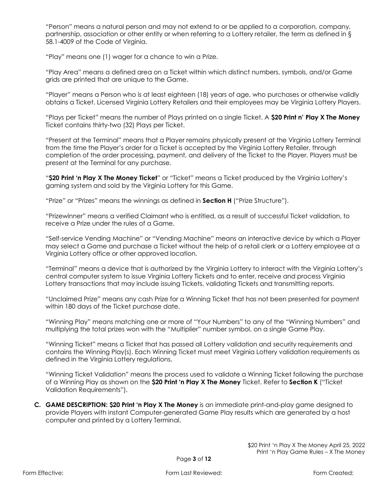"Person" means a natural person and may not extend to or be applied to a corporation, company, partnership, association or other entity or when referring to a Lottery retailer, the term as defined in § 58.1-4009 of the Code of Virginia.

"Play" means one (1) wager for a chance to win a Prize.

"Play Area" means a defined area on a Ticket within which distinct numbers, symbols, and/or Game grids are printed that are unique to the Game.

"Player" means a Person who is at least eighteen (18) years of age, who purchases or otherwise validly obtains a Ticket. Licensed Virginia Lottery Retailers and their employees may be Virginia Lottery Players.

"Plays per Ticket" means the number of Plays printed on a single Ticket. A **\$20 Print n' Play X The Money**  Ticket contains thirty-two (32) Plays per Ticket.

"Present at the Terminal" means that a Player remains physically present at the Virginia Lottery Terminal from the time the Player's order for a Ticket is accepted by the Virginia Lottery Retailer, through completion of the order processing, payment, and delivery of the Ticket to the Player. Players must be present at the Terminal for any purchase.

"**\$20 Print 'n Play X The Money Ticket**" or "Ticket" means a Ticket produced by the Virginia Lottery's gaming system and sold by the Virginia Lottery for this Game.

"Prize" or "Prizes" means the winnings as defined in **Section H** ("Prize Structure").

"Prizewinner" means a verified Claimant who is entitled, as a result of successful Ticket validation, to receive a Prize under the rules of a Game.

"Self-service Vending Machine" or "Vending Machine" means an interactive device by which a Player may select a Game and purchase a Ticket without the help of a retail clerk or a Lottery employee at a Virginia Lottery office or other approved location.

"Terminal" means a device that is authorized by the Virginia Lottery to interact with the Virginia Lottery's central computer system to issue Virginia Lottery Tickets and to enter, receive and process Virginia Lottery transactions that may include issuing Tickets, validating Tickets and transmitting reports.

"Unclaimed Prize" means any cash Prize for a Winning Ticket that has not been presented for payment within 180 days of the Ticket purchase date.

"Winning Play" means matching one or more of "Your Numbers" to any of the "Winning Numbers" and multiplying the total prizes won with the "Multiplier" number symbol, on a single Game Play.

"Winning Ticket" means a Ticket that has passed all Lottery validation and security requirements and contains the Winning Play(s). Each Winning Ticket must meet Virginia Lottery validation requirements as defined in the Virginia Lottery regulations.

"Winning Ticket Validation" means the process used to validate a Winning Ticket following the purchase of a Winning Play as shown on the **\$20 Print 'n Play X The Money** Ticket. Refer to **Section K** ("Ticket Validation Requirements").

**C. GAME DESCRIPTION: \$20 Print 'n Play X The Money** is an immediate print-and-play game designed to provide Players with instant Computer-generated Game Play results which are generated by a host computer and printed by a Lottery Terminal.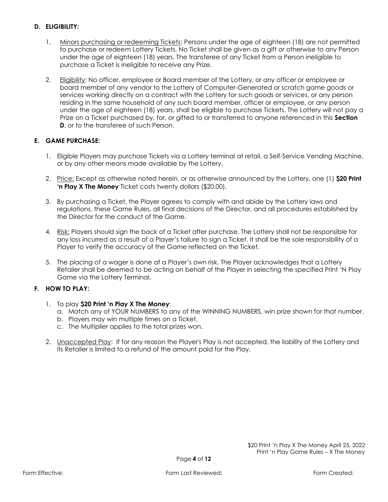## **D. ELIGIBILITY:**

- 1. Minors purchasing or redeeming Tickets: Persons under the age of eighteen (18) are not permitted to purchase or redeem Lottery Tickets. No Ticket shall be given as a gift or otherwise to any Person under the age of eighteen (18) years. The transferee of any Ticket from a Person ineligible to purchase a Ticket is ineligible to receive any Prize.
- 2. Eligibility: No officer, employee or Board member of the Lottery, or any officer or employee or board member of any vendor to the Lottery of Computer-Generated or scratch game goods or services working directly on a contract with the Lottery for such goods or services, or any person residing in the same household of any such board member, officer or employee, or any person under the age of eighteen (18) years, shall be eligible to purchase Tickets. The Lottery will not pay a Prize on a Ticket purchased by, for, or gifted to or transferred to anyone referenced in this **Section D**, or to the transferee of such Person.

# **E. GAME PURCHASE:**

- 1. Eligible Players may purchase Tickets via a Lottery terminal at retail, a Self-Service Vending Machine, or by any other means made available by the Lottery.
- 2. Price: Except as otherwise noted herein, or as otherwise announced by the Lottery, one (1) **\$20 Print 'n Play X The Money** Ticket costs twenty dollars (\$20.00).
- 3. By purchasing a Ticket, the Player agrees to comply with and abide by the Lottery laws and regulations, these Game Rules, all final decisions of the Director, and all procedures established by the Director for the conduct of the Game.
- 4. Risk: Players should sign the back of a Ticket after purchase. The Lottery shall not be responsible for any loss incurred as a result of a Player's failure to sign a Ticket. It shall be the sole responsibility of a Player to verify the accuracy of the Game reflected on the Ticket.
- 5. The placing of a wager is done at a Player's own risk. The Player acknowledges that a Lottery Retailer shall be deemed to be acting on behalf of the Player in selecting the specified Print 'N Play Game via the Lottery Terminal.

## **F. HOW TO PLAY:**

- 1. To play **\$20 Print 'n Play X The Money**:
	- a. Match any of YOUR NUMBERS to any of the WINNING NUMBERS, win prize shown for that number.
	- b. Players may win multiple times on a Ticket.
	- c. The Multiplier applies to the total prizes won.
- 2. Unaccepted Play: If for any reason the Player's Play is not accepted, the liability of the Lottery and its Retailer is limited to a refund of the amount paid for the Play.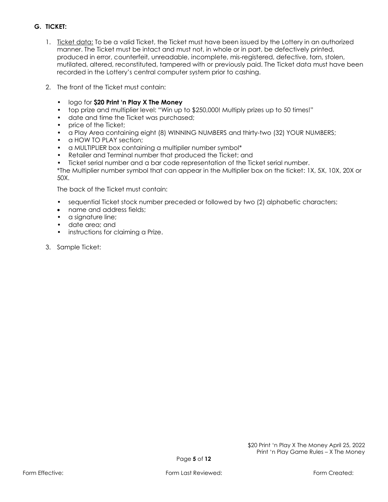# **G. TICKET:**

- 1. Ticket data: To be a valid Ticket, the Ticket must have been issued by the Lottery in an authorized manner. The Ticket must be intact and must not, in whole or in part, be defectively printed, produced in error, counterfeit, unreadable, incomplete, mis-registered, defective, torn, stolen, mutilated, altered, reconstituted, tampered with or previously paid. The Ticket data must have been recorded in the Lottery's central computer system prior to cashing.
- 2. The front of the Ticket must contain:
	- logo for **\$20 Print 'n Play X The Money**
	- top prize and multiplier level: "Win up to \$250,000! Multiply prizes up to 50 times!"
	- date and time the Ticket was purchased;
	- price of the Ticket:
	- a Play Area containing eight (8) WINNING NUMBERS and thirty-two (32) YOUR NUMBERS;
	- a HOW TO PLAY section:
	- a MULTIPLIER box containing a multiplier number symbol\*
	- Retailer and Terminal number that produced the Ticket; and
	- Ticket serial number and a bar code representation of the Ticket serial number.
	- \*The Multiplier number symbol that can appear in the Multiplier box on the ticket: 1X, 5X, 10X, 20X or 50X.

The back of the Ticket must contain:

- sequential Ticket stock number preceded or followed by two (2) alphabetic characters;
- name and address fields;
- a signature line:
- date area; and
- instructions for claiming a Prize.
- 3. Sample Ticket: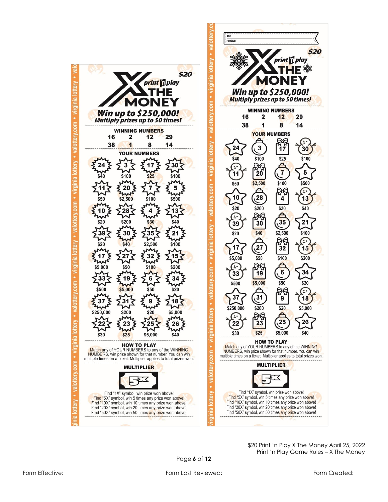

\$ 2 0 Print 'n Play X The Money April 25, 2022 Print 'n Play Game Rules – X The Money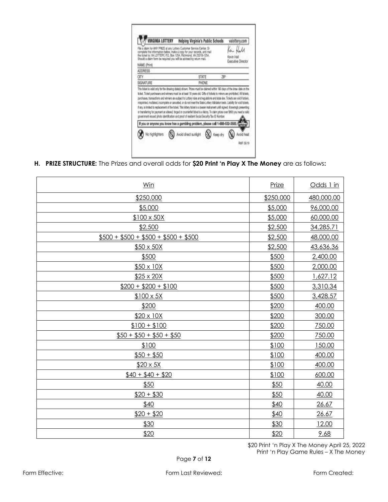| INIA LOTTERY                                                                                                                                                                                                                                                                                                                                                                                                                    | Helping Virginia's Public Schools |                                  | valottery.com |
|---------------------------------------------------------------------------------------------------------------------------------------------------------------------------------------------------------------------------------------------------------------------------------------------------------------------------------------------------------------------------------------------------------------------------------|-----------------------------------|----------------------------------|---------------|
| a plans for ANY PRIZE at any Lottery Customer Bervice Center. Or<br>complete the information below, make a copy for your records, and mail<br>the ficient to: VA LOTTERY, P.O. Box 1254, Richmond, VA 23218-1254,<br>Should a claim form be required you will be advised by raturn mail.                                                                                                                                        |                                   | Kevin Hall<br>Executive Director |               |
| NAME (Print)                                                                                                                                                                                                                                                                                                                                                                                                                    |                                   |                                  |               |
| ADDRESS                                                                                                                                                                                                                                                                                                                                                                                                                         |                                   |                                  |               |
| CITY                                                                                                                                                                                                                                                                                                                                                                                                                            | STATE                             | ZIP                              |               |
|                                                                                                                                                                                                                                                                                                                                                                                                                                 |                                   |                                  |               |
| This bidest is valid only for the drawing date(s) shown. Prizes must be claimed within 180 days of the draw date on the                                                                                                                                                                                                                                                                                                         | PHONE                             |                                  |               |
| purchases. transactions and winners are subject to Lottery rules and regulations and state law. Tickets are void if stolen.<br>or transferring for payment on altered, forged or counterfeit tident is a felony. To claim prizes over \$500 you need a milid<br>povernment-lessed photo identification and proof of resident Secial Security/Tex ID Number.                                                                     |                                   |                                  |               |
| If you or anyone you know has a gambling problem, please call 1-888-532-3500.                                                                                                                                                                                                                                                                                                                                                   |                                   |                                  |               |
| SIGNATURE<br>ticket. Ticket purchasers and winners must be at least 18 years old. Cifts of tickets to minors are prohibited. All tickets,<br>misprinted, muritated, incomplete or cancelled, or do not meet the State Lottery Validation tests. Llability for exiditiolets,<br>if any, is limited to replacement of the fatiot. This lottery ficket is a beany instrument until signed. Knowingly presenting<br>No highlighters | <b>Mold direct sunlight</b>       |                                  | Avoid he      |

**H. PRIZE STRUCTURE:** The Prizes and overall odds for **\$20 Print 'n Play X The Money** are as follows**:**

| Win                                | Prize     | Odds 1 in  |
|------------------------------------|-----------|------------|
| \$250,000                          | \$250,000 | 480,000.00 |
| \$5,000                            | \$5,000   | 96,000.00  |
| $$100 \times 50X$                  | \$5,000   | 60,000.00  |
| \$2,500                            | \$2,500   | 34,285.71  |
| $$500 + $500 + $500 + $500 + $500$ | \$2,500   | 48,000.00  |
| $$50 \times 50X$                   | \$2,500   | 43,636.36  |
| \$500                              | \$500     | 2,400.00   |
| $$50 \times 10X$                   | \$500     | 2,000.00   |
| $$25 \times 20X$                   | \$500     | 1,627.12   |
| $$200 + $200 + $100$               | \$500     | 3,310.34   |
| $$100 \times 5X$                   | \$500     | 3,428.57   |
| \$200                              | \$200     | 400.00     |
| $$20 \times 10X$                   | \$200     | 300.00     |
| $$100 + $100$                      | \$200     | 750.00     |
| $$50 + $50 + $50 + $50$            | \$200     | 750.00     |
| \$100                              | \$100     | 150.00     |
| $$50 + $50$                        | \$100     | 400.00     |
| $$20 \times 5X$                    | \$100     | 400.00     |
| $$40 + $40 + $20$                  | \$100     | 600.00     |
| \$50                               | \$50      | 40.00      |
| $$20 + $30$                        | \$50      | 40.00      |
| \$40                               | \$40      | 26.67      |
| $$20 + $20$                        | \$40      | 26.67      |
| \$30                               | \$30      | 12.00      |
| \$20                               | \$20      | 9.68       |

\$20 Print 'n Play X The Money April 25, 2022 Print 'n Play Game Rules – X The Money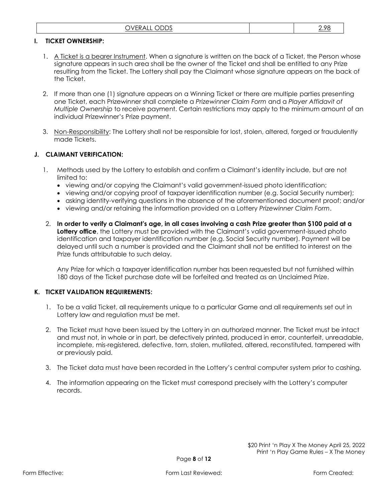| $\sim$ $\sim$ $\sim$<br>ור<br>v<br>◡◡◡<br>◡<br>----<br>∼ |  |
|----------------------------------------------------------|--|
|----------------------------------------------------------|--|

#### **I. TICKET OWNERSHIP:**

- 1. A Ticket is a bearer Instrument. When a signature is written on the back of a Ticket, the Person whose signature appears in such area shall be the owner of the Ticket and shall be entitled to any Prize resulting from the Ticket. The Lottery shall pay the Claimant whose signature appears on the back of the Ticket.
- 2. If more than one (1) signature appears on a Winning Ticket or there are multiple parties presenting one Ticket, each Prizewinner shall complete a *Prizewinner Claim Form* and a *Player Affidavit of Multiple Ownership* to receive payment. Certain restrictions may apply to the minimum amount of an individual Prizewinner's Prize payment.
- 3. Non-Responsibility: The Lottery shall not be responsible for lost, stolen, altered, forged or fraudulently made Tickets.

### **J. CLAIMANT VERIFICATION:**

- 1. Methods used by the Lottery to establish and confirm a Claimant's identity include, but are not limited to:
	- viewing and/or copying the Claimant's valid government-issued photo identification;
	- viewing and/or copying proof of taxpayer identification number (e.g. Social Security number);
	- asking identity-verifying questions in the absence of the aforementioned document proof; and/or
	- viewing and/or retaining the information provided on a Lottery *Prizewinner Claim Form*.
- 2. **In order to verify a Claimant's age, in all cases involving a cash Prize greater than \$100 paid at a**  Lottery office, the Lottery must be provided with the Claimant's valid government-issued photo identification and taxpayer identification number (e.g. Social Security number). Payment will be delayed until such a number is provided and the Claimant shall not be entitled to interest on the Prize funds attributable to such delay.

Any Prize for which a taxpayer identification number has been requested but not furnished within 180 days of the Ticket purchase date will be forfeited and treated as an Unclaimed Prize.

#### **K. TICKET VALIDATION REQUIREMENTS:**

- 1. To be a valid Ticket, all requirements unique to a particular Game and all requirements set out in Lottery law and regulation must be met.
- 2. The Ticket must have been issued by the Lottery in an authorized manner. The Ticket must be intact and must not, in whole or in part, be defectively printed, produced in error, counterfeit, unreadable, incomplete, mis-registered, defective, torn, stolen, mutilated, altered, reconstituted, tampered with or previously paid.
- 3. The Ticket data must have been recorded in the Lottery's central computer system prior to cashing.
- 4. The information appearing on the Ticket must correspond precisely with the Lottery's computer records.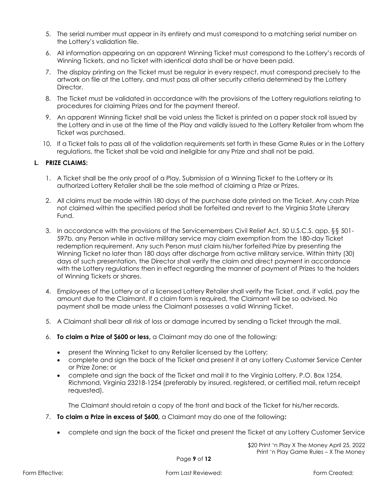- 5. The serial number must appear in its entirety and must correspond to a matching serial number on the Lottery's validation file.
- 6. All information appearing on an apparent Winning Ticket must correspond to the Lottery's records of Winning Tickets, and no Ticket with identical data shall be or have been paid.
- 7. The display printing on the Ticket must be regular in every respect, must correspond precisely to the artwork on file at the Lottery, and must pass all other security criteria determined by the Lottery Director.
- 8. The Ticket must be validated in accordance with the provisions of the Lottery regulations relating to procedures for claiming Prizes and for the payment thereof.
- 9. An apparent Winning Ticket shall be void unless the Ticket is printed on a paper stock roll issued by the Lottery and in use at the time of the Play and validly issued to the Lottery Retailer from whom the Ticket was purchased.
- 10. If a Ticket fails to pass all of the validation requirements set forth in these Game Rules or in the Lottery regulations, the Ticket shall be void and ineligible for any Prize and shall not be paid.

#### **L. PRIZE CLAIMS:**

- 1. A Ticket shall be the only proof of a Play. Submission of a Winning Ticket to the Lottery or its authorized Lottery Retailer shall be the sole method of claiming a Prize or Prizes.
- 2. All claims must be made within 180 days of the purchase date printed on the Ticket. Any cash Prize not claimed within the specified period shall be forfeited and revert to the Virginia State Literary Fund.
- 3. In accordance with the provisions of the Servicemembers Civil Relief Act, 50 U.S.C.S. app. §§ 501- 597b, any Person while in active military service may claim exemption from the 180-day Ticket redemption requirement. Any such Person must claim his/her forfeited Prize by presenting the Winning Ticket no later than 180 days after discharge from active military service. Within thirty (30) days of such presentation, the Director shall verify the claim and direct payment in accordance with the Lottery regulations then in effect regarding the manner of payment of Prizes to the holders of Winning Tickets or shares.
- 4. Employees of the Lottery or of a licensed Lottery Retailer shall verify the Ticket, and, if valid, pay the amount due to the Claimant. If a claim form is required, the Claimant will be so advised. No payment shall be made unless the Claimant possesses a valid Winning Ticket.
- 5. A Claimant shall bear all risk of loss or damage incurred by sending a Ticket through the mail.
- 6. **To claim a Prize of \$600 or less,** a Claimant may do one of the following:
	- present the Winning Ticket to any Retailer licensed by the Lottery;
	- complete and sign the back of the Ticket and present it at any Lottery Customer Service Center or Prize Zone; or
	- complete and sign the back of the Ticket and mail it to the Virginia Lottery, P.O. Box 1254, Richmond, Virginia 23218-1254 (preferably by insured, registered, or certified mail, return receipt requested).

The Claimant should retain a copy of the front and back of the Ticket for his/her records.

- 7. **To claim a Prize in excess of \$600,** a Claimant may do one of the following**:**
	- complete and sign the back of the Ticket and present the Ticket at any Lottery Customer Service

\$20 Print 'n Play X The Money April 25, 2022 Print 'n Play Game Rules – X The Money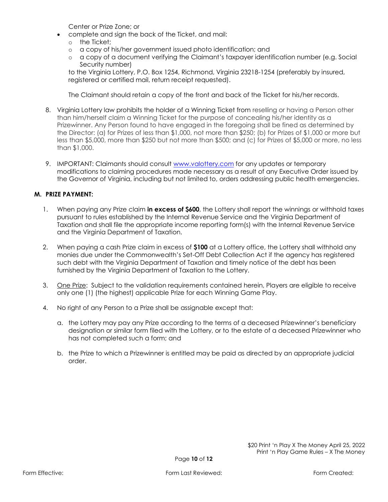Center or Prize Zone; or

- complete and sign the back of the Ticket, and mail:
	- o the Ticket;
	- o a copy of his/her government issued photo identification; and
	- o a copy of a document verifying the Claimant's taxpayer identification number (e.g. Social Security number)

to the Virginia Lottery, P.O. Box 1254, Richmond, Virginia 23218-1254 (preferably by insured, registered or certified mail, return receipt requested).

The Claimant should retain a copy of the front and back of the Ticket for his/her records.

- 8. Virginia Lottery law prohibits the holder of a Winning Ticket from reselling or having a Person other than him/herself claim a Winning Ticket for the purpose of concealing his/her identity as a Prizewinner. Any Person found to have engaged in the foregoing shall be fined as determined by the Director: (a) for Prizes of less than \$1,000, not more than \$250; (b) for Prizes of \$1,000 or more but less than \$5,000, more than \$250 but not more than \$500; and (c) for Prizes of \$5,000 or more, no less than \$1,000.
- 9. IMPORTANT: Claimants should consult [www.valottery.com](https://www.valottery.com/) for any updates or temporary modifications to claiming procedures made necessary as a result of any Executive Order issued by the Governor of Virginia, including but not limited to, orders addressing public health emergencies.

### **M. PRIZE PAYMENT:**

- 1. When paying any Prize claim **in excess of \$600**, the Lottery shall report the winnings or withhold taxes pursuant to rules established by the Internal Revenue Service and the Virginia Department of Taxation and shall file the appropriate income reporting form(s) with the Internal Revenue Service and the Virginia Department of Taxation.
- 2. When paying a cash Prize claim in excess of **\$100** at a Lottery office, the Lottery shall withhold any monies due under the Commonwealth's Set-Off Debt Collection Act if the agency has registered such debt with the Virginia Department of Taxation and timely notice of the debt has been furnished by the Virginia Department of Taxation to the Lottery.
- 3. One Prize: Subject to the validation requirements contained herein, Players are eligible to receive only one (1) (the highest) applicable Prize for each Winning Game Play.
- 4. No right of any Person to a Prize shall be assignable except that:
	- a. the Lottery may pay any Prize according to the terms of a deceased Prizewinner's beneficiary designation or similar form filed with the Lottery, or to the estate of a deceased Prizewinner who has not completed such a form; and
	- b. the Prize to which a Prizewinner is entitled may be paid as directed by an appropriate judicial order.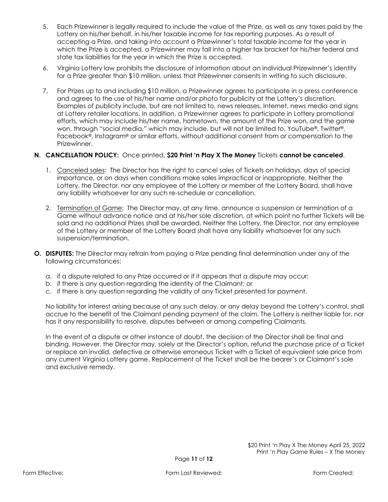- 5. Each Prizewinner is legally required to include the value of the Prize, as well as any taxes paid by the Lottery on his/her behalf, in his/her taxable income for tax reporting purposes. As a result of accepting a Prize, and taking into account a Prizewinner's total taxable income for the year in which the Prize is accepted, a Prizewinner may fall into a higher tax bracket for his/her federal and state tax liabilities for the year in which the Prize is accepted.
- 6. Virginia Lottery law prohibits the disclosure of information about an individual Prizewinner's identity for a Prize greater than \$10 million, unless that Prizewinner consents in writing to such disclosure.
- 7. For Prizes up to and including \$10 million, a Prizewinner agrees to participate in a press conference and agrees to the use of his/her name and/or photo for publicity at the Lottery's discretion. Examples of publicity include, but are not limited to, news releases, Internet, news media and signs at Lottery retailer locations. In addition, a Prizewinner agrees to participate in Lottery promotional efforts, which may include his/her name, hometown, the amount of the Prize won, and the game won, through "social media," which may include, but will not be limited to, YouTube®, Twitter®, Facebook®, Instagram® or similar efforts, without additional consent from or compensation to the Prizewinner.

## **N. CANCELLATION POLICY:** Once printed, **\$20 Print 'n Play X The Money** Tickets **cannot be canceled**.

- 1. Canceled sales: The Director has the right to cancel sales of Tickets on holidays, days of special importance, or on days when conditions make sales impractical or inappropriate. Neither the Lottery, the Director, nor any employee of the Lottery or member of the Lottery Board, shall have any liability whatsoever for any such re-schedule or cancellation.
- 2. Termination of Game: The Director may, at any time, announce a suspension or termination of a Game without advance notice and at his/her sole discretion, at which point no further Tickets will be sold and no additional Prizes shall be awarded. Neither the Lottery, the Director, nor any employee of the Lottery or member of the Lottery Board shall have any liability whatsoever for any such suspension/termination.
- **O. DISPUTES:** The Director may refrain from paying a Prize pending final determination under any of the following circumstances:
	- a. if a dispute related to any Prize occurred or if it appears that a dispute may occur;
	- b. if there is any question regarding the identity of the Claimant; or
	- c. if there is any question regarding the validity of any Ticket presented for payment.

No liability for interest arising because of any such delay, or any delay beyond the Lottery's control, shall accrue to the benefit of the Claimant pending payment of the claim. The Lottery is neither liable for, nor has it any responsibility to resolve, disputes between or among competing Claimants.

In the event of a dispute or other instance of doubt, the decision of the Director shall be final and binding. However, the Director may, solely at the Director's option, refund the purchase price of a Ticket or replace an invalid, defective or otherwise erroneous Ticket with a Ticket of equivalent sale price from any current Virginia Lottery game. Replacement of the Ticket shall be the bearer's or Claimant's sole and exclusive remedy.